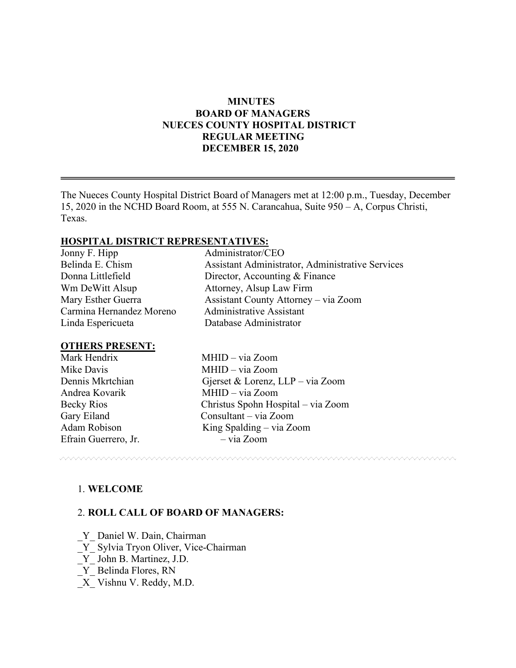# **MINUTES BOARD OF MANAGERS NUECES COUNTY HOSPITAL DISTRICT REGULAR MEETING DECEMBER 15, 2020**

The Nueces County Hospital District Board of Managers met at 12:00 p.m., Tuesday, December 15, 2020 in the NCHD Board Room, at 555 N. Carancahua, Suite 950 – A, Corpus Christi, Texas.

#### **HOSPITAL DISTRICT REPRESENTATIVES:**

| Jonny F. Hipp            | Administrator/CEO                                |
|--------------------------|--------------------------------------------------|
| Belinda E. Chism         | Assistant Administrator, Administrative Services |
| Donna Littlefield        | Director, Accounting & Finance                   |
| Wm DeWitt Alsup          | Attorney, Alsup Law Firm                         |
| Mary Esther Guerra       | Assistant County Attorney – via Zoom             |
| Carmina Hernandez Moreno | <b>Administrative Assistant</b>                  |
| Linda Espericueta        | Database Administrator                           |
|                          |                                                  |

#### **OTHERS PRESENT:**

| Mark Hendrix         | MHID - via Zoom                    |
|----------------------|------------------------------------|
| Mike Davis           | MHID - via Zoom                    |
| Dennis Mkrtchian     | Gjerset & Lorenz, LLP – via Zoom   |
| Andrea Kovarik       | MHID - via Zoom                    |
| Becky Rios           | Christus Spohn Hospital – via Zoom |
| Gary Eiland          | Consultant – via Zoom              |
| Adam Robison         | King Spalding $-$ via Zoom         |
| Efrain Guerrero, Jr. | $-$ via Zoom                       |
|                      |                                    |

1. **WELCOME**

#### 2. **ROLL CALL OF BOARD OF MANAGERS:**

Y Daniel W. Dain, Chairman

\_Y\_ Sylvia Tryon Oliver, Vice-Chairman

\_Y\_ John B. Martinez, J.D.

- \_Y\_ Belinda Flores, RN
- \_X\_ Vishnu V. Reddy, M.D.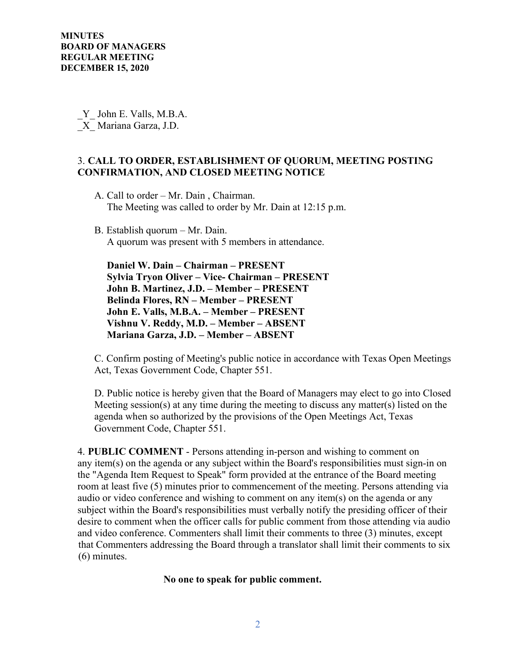\_Y\_ John E. Valls, M.B.A. \_X\_ Mariana Garza, J.D.

# 3. **CALL TO ORDER, ESTABLISHMENT OF QUORUM, MEETING POSTING CONFIRMATION, AND CLOSED MEETING NOTICE**

- A. Call to order Mr. Dain , Chairman. The Meeting was called to order by Mr. Dain at 12:15 p.m.
- B. Establish quorum Mr. Dain. A quorum was present with 5 members in attendance.

 **Daniel W. Dain – Chairman – PRESENT Sylvia Tryon Oliver – Vice- Chairman – PRESENT John B. Martinez, J.D. – Member – PRESENT Belinda Flores, RN – Member – PRESENT John E. Valls, M.B.A. – Member – PRESENT Vishnu V. Reddy, M.D. – Member – ABSENT Mariana Garza, J.D. – Member – ABSENT** 

C. Confirm posting of Meeting's public notice in accordance with Texas Open Meetings Act, Texas Government Code, Chapter 551.

D. Public notice is hereby given that the Board of Managers may elect to go into Closed Meeting session(s) at any time during the meeting to discuss any matter(s) listed on the agenda when so authorized by the provisions of the Open Meetings Act, Texas Government Code, Chapter 551.

4. **PUBLIC COMMENT** - Persons attending in-person and wishing to comment on any item(s) on the agenda or any subject within the Board's responsibilities must sign-in on the "Agenda Item Request to Speak" form provided at the entrance of the Board meeting room at least five (5) minutes prior to commencement of the meeting. Persons attending via audio or video conference and wishing to comment on any item(s) on the agenda or any subject within the Board's responsibilities must verbally notify the presiding officer of their desire to comment when the officer calls for public comment from those attending via audio and video conference. Commenters shall limit their comments to three (3) minutes, except that Commenters addressing the Board through a translator shall limit their comments to six (6) minutes.

#### **No one to speak for public comment.**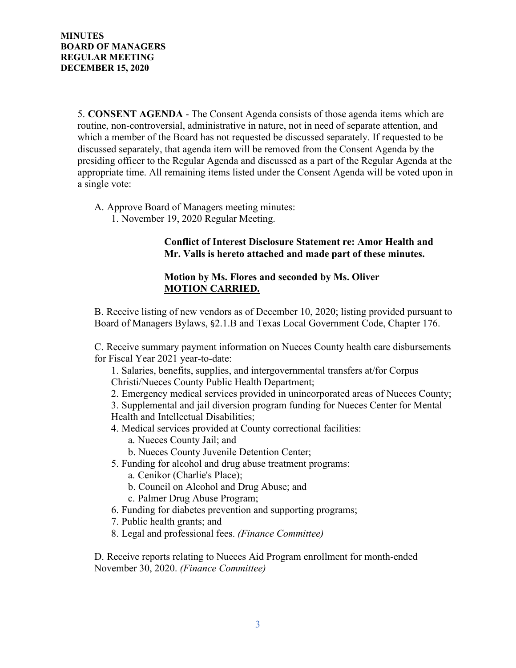5. **CONSENT AGENDA** - The Consent Agenda consists of those agenda items which are routine, non-controversial, administrative in nature, not in need of separate attention, and which a member of the Board has not requested be discussed separately. If requested to be discussed separately, that agenda item will be removed from the Consent Agenda by the presiding officer to the Regular Agenda and discussed as a part of the Regular Agenda at the appropriate time. All remaining items listed under the Consent Agenda will be voted upon in a single vote:

- A. Approve Board of Managers meeting minutes:
	- 1. November 19, 2020 Regular Meeting.

## **Conflict of Interest Disclosure Statement re: Amor Health and Mr. Valls is hereto attached and made part of these minutes.**

## **Motion by Ms. Flores and seconded by Ms. Oliver MOTION CARRIED.**

B. Receive listing of new vendors as of December 10, 2020; listing provided pursuant to Board of Managers Bylaws, §2.1.B and Texas Local Government Code, Chapter 176.

C. Receive summary payment information on Nueces County health care disbursements for Fiscal Year 2021 year-to-date:

1. Salaries, benefits, supplies, and intergovernmental transfers at/for Corpus Christi/Nueces County Public Health Department;

2. Emergency medical services provided in unincorporated areas of Nueces County;

3. Supplemental and jail diversion program funding for Nueces Center for Mental Health and Intellectual Disabilities;

- 4. Medical services provided at County correctional facilities:
	- a. Nueces County Jail; and
	- b. Nueces County Juvenile Detention Center;
- 5. Funding for alcohol and drug abuse treatment programs:
	- a. Cenikor (Charlie's Place);
	- b. Council on Alcohol and Drug Abuse; and
	- c. Palmer Drug Abuse Program;
- 6. Funding for diabetes prevention and supporting programs;
- 7. Public health grants; and
- 8. Legal and professional fees. *(Finance Committee)*

D. Receive reports relating to Nueces Aid Program enrollment for month-ended November 30, 2020. *(Finance Committee)*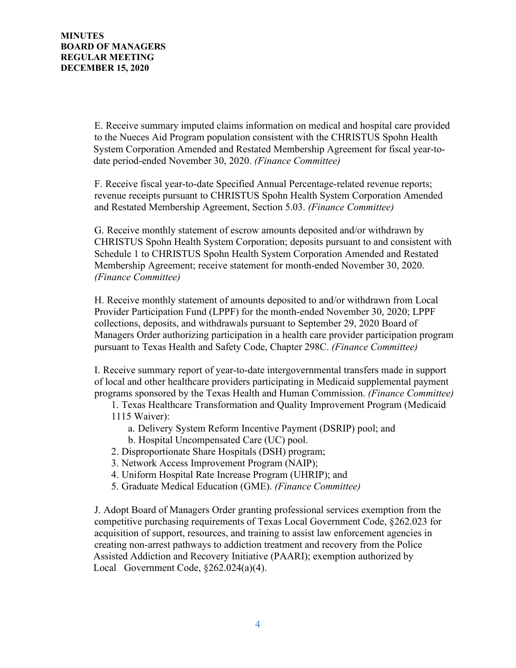E. Receive summary imputed claims information on medical and hospital care provided to the Nueces Aid Program population consistent with the CHRISTUS Spohn Health System Corporation Amended and Restated Membership Agreement for fiscal year-to date period-ended November 30, 2020. *(Finance Committee)*

F. Receive fiscal year-to-date Specified Annual Percentage-related revenue reports; revenue receipts pursuant to CHRISTUS Spohn Health System Corporation Amended and Restated Membership Agreement, Section 5.03. *(Finance Committee)*

G. Receive monthly statement of escrow amounts deposited and/or withdrawn by CHRISTUS Spohn Health System Corporation; deposits pursuant to and consistent with Schedule 1 to CHRISTUS Spohn Health System Corporation Amended and Restated Membership Agreement; receive statement for month-ended November 30, 2020. *(Finance Committee)*

H. Receive monthly statement of amounts deposited to and/or withdrawn from Local Provider Participation Fund (LPPF) for the month-ended November 30, 2020; LPPF collections, deposits, and withdrawals pursuant to September 29, 2020 Board of Managers Order authorizing participation in a health care provider participation program pursuant to Texas Health and Safety Code, Chapter 298C. *(Finance Committee)*

I. Receive summary report of year-to-date intergovernmental transfers made in support of local and other healthcare providers participating in Medicaid supplemental payment programs sponsored by the Texas Health and Human Commission. *(Finance Committee)*

1. Texas Healthcare Transformation and Quality Improvement Program (Medicaid

# 1115 Waiver):

- a. Delivery System Reform Incentive Payment (DSRIP) pool; and
- b. Hospital Uncompensated Care (UC) pool.
- 2. Disproportionate Share Hospitals (DSH) program;
- 3. Network Access Improvement Program (NAIP);
- 4. Uniform Hospital Rate Increase Program (UHRIP); and
- 5. Graduate Medical Education (GME). *(Finance Committee)*

J. Adopt Board of Managers Order granting professional services exemption from the competitive purchasing requirements of Texas Local Government Code, §262.023 for acquisition of support, resources, and training to assist law enforcement agencies in creating non-arrest pathways to addiction treatment and recovery from the Police Assisted Addiction and Recovery Initiative (PAARI); exemption authorized by Local Government Code, §262.024(a)(4).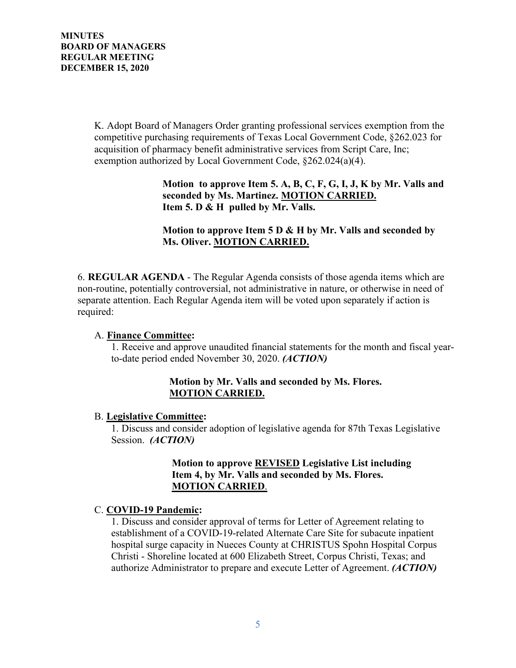K. Adopt Board of Managers Order granting professional services exemption from the competitive purchasing requirements of Texas Local Government Code, §262.023 for acquisition of pharmacy benefit administrative services from Script Care, Inc; exemption authorized by Local Government Code, §262.024(a)(4).

# **Motion to approve Item 5. A, B, C, F, G, I, J, K by Mr. Valls and seconded by Ms. Martinez. MOTION CARRIED. Item 5. D & H pulled by Mr. Valls.**

# **Motion to approve Item 5 D & H by Mr. Valls and seconded by Ms. Oliver. MOTION CARRIED.**

6. **REGULAR AGENDA** - The Regular Agenda consists of those agenda items which are non-routine, potentially controversial, not administrative in nature, or otherwise in need of separate attention. Each Regular Agenda item will be voted upon separately if action is required:

## A. **Finance Committee:**

1. Receive and approve unaudited financial statements for the month and fiscal yearto-date period ended November 30, 2020. *(ACTION)*

# **Motion by Mr. Valls and seconded by Ms. Flores. MOTION CARRIED.**

## B. **Legislative Committee:**

1. Discuss and consider adoption of legislative agenda for 87th Texas Legislative Session. *(ACTION)*

# **Motion to approve REVISED Legislative List including Item 4, by Mr. Valls and seconded by Ms. Flores. MOTION CARRIED**.

# C. **COVID-19 Pandemic:**

1. Discuss and consider approval of terms for Letter of Agreement relating to establishment of a COVID-19-related Alternate Care Site for subacute inpatient hospital surge capacity in Nueces County at CHRISTUS Spohn Hospital Corpus Christi - Shoreline located at 600 Elizabeth Street, Corpus Christi, Texas; and authorize Administrator to prepare and execute Letter of Agreement. *(ACTION)*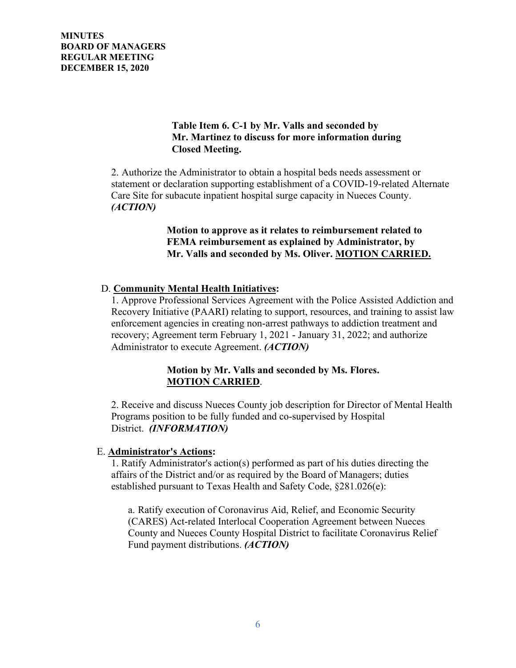**MINUTES BOARD OF MANAGERS REGULAR MEETING DECEMBER 15, 2020** 

# **Table Item 6. C-1 by Mr. Valls and seconded by Mr. Martinez to discuss for more information during Closed Meeting.**

2. Authorize the Administrator to obtain a hospital beds needs assessment or statement or declaration supporting establishment of a COVID-19-related Alternate Care Site for subacute inpatient hospital surge capacity in Nueces County. *(ACTION)*

> **Motion to approve as it relates to reimbursement related to FEMA reimbursement as explained by Administrator, by Mr. Valls and seconded by Ms. Oliver. MOTION CARRIED.**

## D. **Community Mental Health Initiatives:**

1. Approve Professional Services Agreement with the Police Assisted Addiction and Recovery Initiative (PAARI) relating to support, resources, and training to assist law enforcement agencies in creating non-arrest pathways to addiction treatment and recovery; Agreement term February 1, 2021 - January 31, 2022; and authorize Administrator to execute Agreement. *(ACTION)*

# **Motion by Mr. Valls and seconded by Ms. Flores. MOTION CARRIED**.

2. Receive and discuss Nueces County job description for Director of Mental Health Programs position to be fully funded and co-supervised by Hospital District. *(INFORMATION)*

#### E. **Administrator's Actions:**

1. Ratify Administrator's action(s) performed as part of his duties directing the affairs of the District and/or as required by the Board of Managers; duties established pursuant to Texas Health and Safety Code, §281.026(e):

a. Ratify execution of Coronavirus Aid, Relief, and Economic Security (CARES) Act-related Interlocal Cooperation Agreement between Nueces County and Nueces County Hospital District to facilitate Coronavirus Relief Fund payment distributions. *(ACTION)*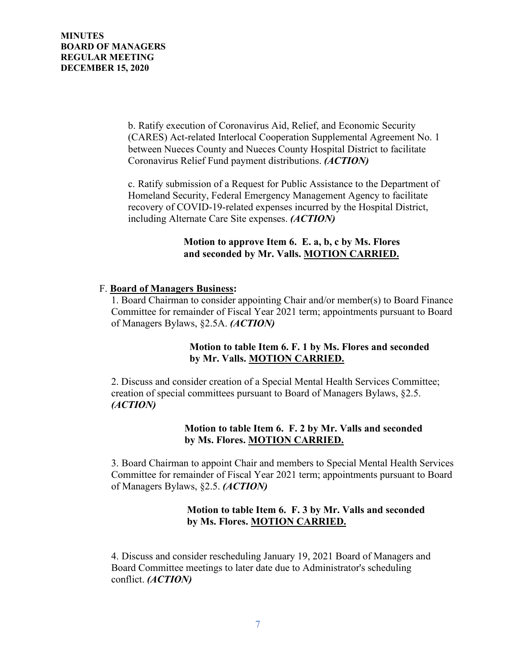b. Ratify execution of Coronavirus Aid, Relief, and Economic Security (CARES) Act-related Interlocal Cooperation Supplemental Agreement No. 1 between Nueces County and Nueces County Hospital District to facilitate Coronavirus Relief Fund payment distributions. *(ACTION)*

c. Ratify submission of a Request for Public Assistance to the Department of Homeland Security, Federal Emergency Management Agency to facilitate recovery of COVID-19-related expenses incurred by the Hospital District, including Alternate Care Site expenses. *(ACTION)*

## **Motion to approve Item 6. E. a, b, c by Ms. Flores and seconded by Mr. Valls. MOTION CARRIED.**

# F. **Board of Managers Business:**

1. Board Chairman to consider appointing Chair and/or member(s) to Board Finance Committee for remainder of Fiscal Year 2021 term; appointments pursuant to Board of Managers Bylaws, §2.5A. *(ACTION)*

# **Motion to table Item 6. F. 1 by Ms. Flores and seconded by Mr. Valls. MOTION CARRIED.**

2. Discuss and consider creation of a Special Mental Health Services Committee; creation of special committees pursuant to Board of Managers Bylaws, §2.5. *(ACTION)*

# **Motion to table Item 6. F. 2 by Mr. Valls and seconded by Ms. Flores. MOTION CARRIED.**

3. Board Chairman to appoint Chair and members to Special Mental Health Services Committee for remainder of Fiscal Year 2021 term; appointments pursuant to Board of Managers Bylaws, §2.5. *(ACTION)*

# **Motion to table Item 6. F. 3 by Mr. Valls and seconded by Ms. Flores. MOTION CARRIED.**

4. Discuss and consider rescheduling January 19, 2021 Board of Managers and Board Committee meetings to later date due to Administrator's scheduling conflict. *(ACTION)*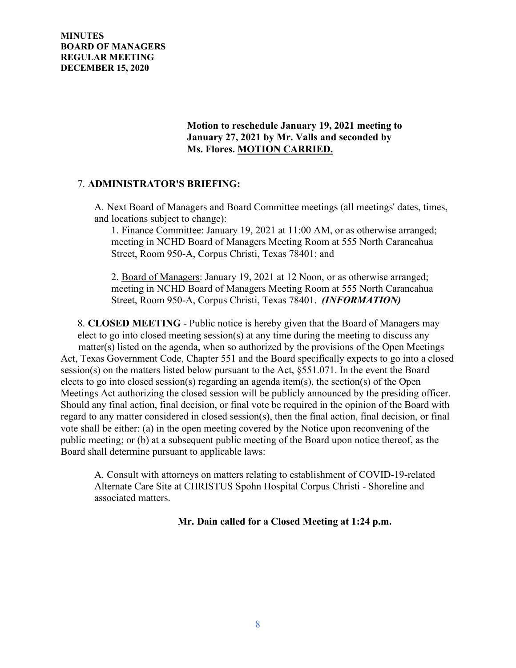**MINUTES BOARD OF MANAGERS REGULAR MEETING DECEMBER 15, 2020** 

> **Motion to reschedule January 19, 2021 meeting to January 27, 2021 by Mr. Valls and seconded by Ms. Flores. MOTION CARRIED.**

#### 7. **ADMINISTRATOR'S BRIEFING:**

A. Next Board of Managers and Board Committee meetings (all meetings' dates, times, and locations subject to change):

1. Finance Committee: January 19, 2021 at 11:00 AM, or as otherwise arranged; meeting in NCHD Board of Managers Meeting Room at 555 North Carancahua Street, Room 950-A, Corpus Christi, Texas 78401; and

2. Board of Managers: January 19, 2021 at 12 Noon, or as otherwise arranged; meeting in NCHD Board of Managers Meeting Room at 555 North Carancahua Street, Room 950-A, Corpus Christi, Texas 78401. *(INFORMATION)*

8. **CLOSED MEETING** - Public notice is hereby given that the Board of Managers may elect to go into closed meeting session(s) at any time during the meeting to discuss any matter(s) listed on the agenda, when so authorized by the provisions of the Open Meetings Act, Texas Government Code, Chapter 551 and the Board specifically expects to go into a closed session(s) on the matters listed below pursuant to the Act, §551.071. In the event the Board elects to go into closed session(s) regarding an agenda item(s), the section(s) of the Open Meetings Act authorizing the closed session will be publicly announced by the presiding officer. Should any final action, final decision, or final vote be required in the opinion of the Board with regard to any matter considered in closed session(s), then the final action, final decision, or final vote shall be either: (a) in the open meeting covered by the Notice upon reconvening of the public meeting; or (b) at a subsequent public meeting of the Board upon notice thereof, as the Board shall determine pursuant to applicable laws:

A. Consult with attorneys on matters relating to establishment of COVID-19-related Alternate Care Site at CHRISTUS Spohn Hospital Corpus Christi - Shoreline and associated matters.

 **Mr. Dain called for a Closed Meeting at 1:24 p.m.**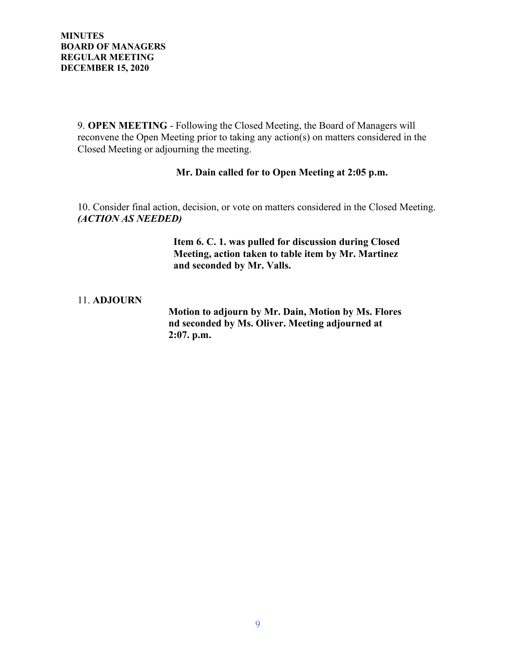9. **OPEN MEETING** - Following the Closed Meeting, the Board of Managers will reconvene the Open Meeting prior to taking any action(s) on matters considered in the Closed Meeting or adjourning the meeting.

## **Mr. Dain called for to Open Meeting at 2:05 p.m.**

10. Consider final action, decision, or vote on matters considered in the Closed Meeting. *(ACTION AS NEEDED)*

> **Item 6. C. 1. was pulled for discussion during Closed Meeting, action taken to table item by Mr. Martinez and seconded by Mr. Valls.**

#### 11. **ADJOURN**

 **Motion to adjourn by Mr. Dain, Motion by Ms. Flores nd seconded by Ms. Oliver. Meeting adjourned at 2:07. p.m.**